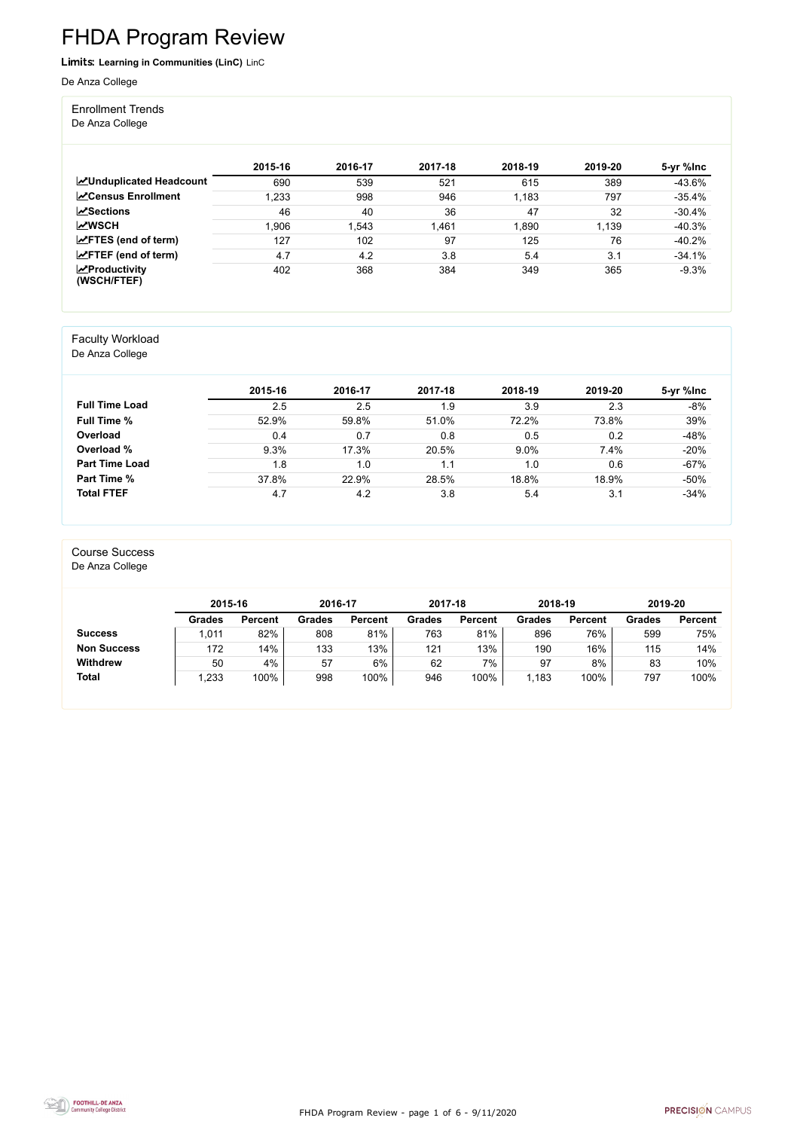FHDA Program Review - page 1 of 6 - 9/11/2020



# FHDA Program Review

Limits: **Learning in Communities (LinC)** LinC

#### De Anza College

Enrollment Trends

De Anza College

|                                    | 2015-16 | 2016-17 | 2017-18 | 2018-19 | 2019-20 | 5-yr %lnc |
|------------------------------------|---------|---------|---------|---------|---------|-----------|
| <b>ZUnduplicated Headcount</b>     | 690     | 539     | 521     | 615     | 389     | $-43.6\%$ |
| <b>∠</b> Census Enrollment         | 1,233   | 998     | 946     | 1,183   | 797     | $-35.4%$  |
| $\sqrt{S}$ ections                 | 46      | 40      | 36      | 47      | 32      | $-30.4%$  |
| <b>MWSCH</b>                       | .906    | .543    | 1,461   | 1,890   | 1,139   | $-40.3%$  |
| $\angle$ FTES (end of term)        | 127     | 102     | 97      | 125     | 76      | $-40.2%$  |
| $\angle$ FTEF (end of term)        | 4.7     | 4.2     | 3.8     | 5.4     | 3.1     | $-34.1%$  |
| $\chi$ Productivity<br>(WSCH/FTEF) | 402     | 368     | 384     | 349     | 365     | $-9.3%$   |

#### Faculty Workload

De Anza College

|                       | 2015-16 | 2016-17 | 2017-18 | 2018-19 | 2019-20 | 5-yr %lnc |
|-----------------------|---------|---------|---------|---------|---------|-----------|
| <b>Full Time Load</b> | 2.5     | 2.5     | 1.9     | 3.9     | 2.3     | $-8%$     |
| <b>Full Time %</b>    | 52.9%   | 59.8%   | 51.0%   | 72.2%   | 73.8%   | 39%       |
| Overload              | 0.4     | 0.7     | 0.8     | 0.5     | 0.2     | $-48%$    |
| Overload %            | 9.3%    | 17.3%   | 20.5%   | 9.0%    | 7.4%    | $-20%$    |
| <b>Part Time Load</b> | 1.8     | 1.0     | 1.1     | 1.0     | 0.6     | $-67%$    |
| Part Time %           | 37.8%   | 22.9%   | 28.5%   | 18.8%   | 18.9%   | $-50%$    |
| <b>Total FTEF</b>     | 4.7     | 4.2     | 3.8     | 5.4     | 3.1     | $-34%$    |

#### Course Success

De Anza College

|                    | 2015-16       |                | 2016-17       |                | 2017-18       |                | 2018-19       |                | 2019-20       |                |
|--------------------|---------------|----------------|---------------|----------------|---------------|----------------|---------------|----------------|---------------|----------------|
|                    | <b>Grades</b> | <b>Percent</b> | <b>Grades</b> | <b>Percent</b> | <b>Grades</b> | <b>Percent</b> | <b>Grades</b> | <b>Percent</b> | <b>Grades</b> | <b>Percent</b> |
| <b>Success</b>     | ,011          | 82%            | 808           | 81%            | 763           | 81%            | 896           | 76%            | 599           | 75%            |
| <b>Non Success</b> | 172           | 14%            | 133           | 13%            | 121           | 13%            | 190           | 16%            | 115           | 14%            |
| <b>Withdrew</b>    | 50            | 4%             | 57            | 6%             | 62            | 7%             | 97            | 8%             | 83            | 10%            |
| <b>Total</b>       | ,233          | 100%           | 998           | 100%           | 946           | 100%           | 1,183         | 100%           | 797           | 100%           |

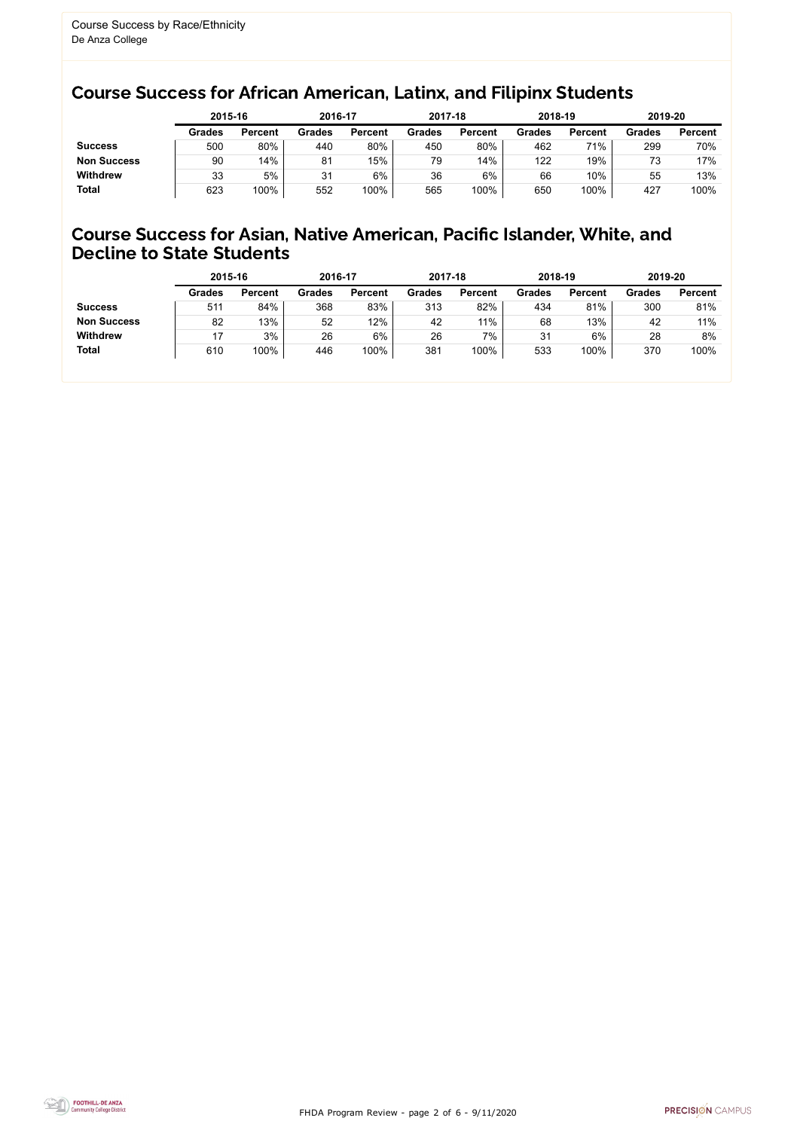FHDA Program Review - page 2 of 6 - 9/11/2020



### Course Success for African American, Latinx, and Filipinx Students

#### Course Success for Asian, Native American, Pacific Islander, White, and Decline to State Students

|                    |               | 2015-16        |               | 2016-17        |               | 2017-18        | 2018-19       |                | 2019-20       |                |
|--------------------|---------------|----------------|---------------|----------------|---------------|----------------|---------------|----------------|---------------|----------------|
|                    | <b>Grades</b> | <b>Percent</b> | <b>Grades</b> | <b>Percent</b> | <b>Grades</b> | <b>Percent</b> | <b>Grades</b> | <b>Percent</b> | <b>Grades</b> | <b>Percent</b> |
| <b>Success</b>     | 500           | 80%            | 440           | 80%            | 450           | 80%            | 462           | 71%            | 299           | 70%            |
| <b>Non Success</b> | 90            | 14%            | 81            | 15%            | 79            | 14%            | 122           | 19%            | 73            | 17%            |
| <b>Withdrew</b>    | 33            | 5%             | 31            | 6%             | 36            | 6%             | 66            | 10%            | 55            | 13%            |
| <b>Total</b>       | 623           | 100%           | 552           | 100%           | 565           | 100%           | 650           | 100%           | 427           | 100%           |

|                    | 2015-16       |                | 2016-17       |                | 2017-18       |                | 2018-19       |                | 2019-20       |                |
|--------------------|---------------|----------------|---------------|----------------|---------------|----------------|---------------|----------------|---------------|----------------|
|                    | <b>Grades</b> | <b>Percent</b> | <b>Grades</b> | <b>Percent</b> | <b>Grades</b> | <b>Percent</b> | <b>Grades</b> | <b>Percent</b> | <b>Grades</b> | <b>Percent</b> |
| <b>Success</b>     | 511           | 84%            | 368           | 83%            | 313           | 82%            | 434           | 81%            | 300           | 81%            |
| <b>Non Success</b> | 82            | 13%            | 52            | 12%            | 42            | 11%            | 68            | 13%            | 42            | 11%            |
| <b>Withdrew</b>    |               | 3%             | 26            | 6%             | 26            | 7%             | 31            | 6%             | 28            | 8%             |
| <b>Total</b>       | 610           | 100%           | 446           | 100%           | 381           | 100%           | 533           | 100%           | 370           | 100%           |
|                    |               |                |               |                |               |                |               |                |               |                |

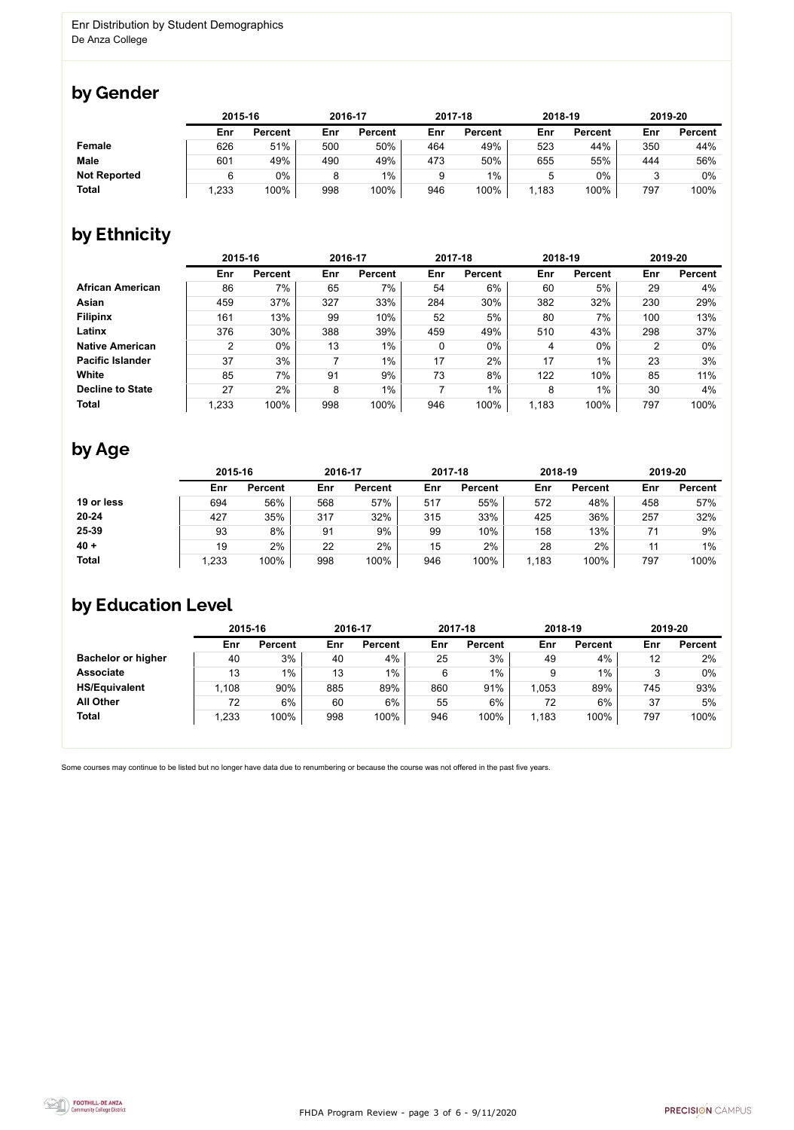

Some courses may continue to be listed but no longer have data due to renumbering or because the course was not offered in the past five years.



### by Gender

|                     | 2015-16 |                |     | 2016-17        |     | 2017-18        | 2018-19 |                | 2019-20 |                |
|---------------------|---------|----------------|-----|----------------|-----|----------------|---------|----------------|---------|----------------|
|                     | Enr     | <b>Percent</b> | Enr | <b>Percent</b> | Enr | <b>Percent</b> | Enr     | <b>Percent</b> | Enr     | <b>Percent</b> |
| <b>Female</b>       | 626     | 51%            | 500 | 50%            | 464 | 49%            | 523     | 44%            | 350     | 44%            |
| <b>Male</b>         | 601     | 49%            | 490 | 49%            | 473 | 50%            | 655     | 55%            | 444     | 56%            |
| <b>Not Reported</b> |         | 0%             | 8   | 1%             |     | $1\%$          |         | 0%             |         | 0%             |
| <b>Total</b>        | 1,233   | 100%           | 998 | 100%           | 946 | 100%           | 1,183   | 100%           | 797     | 100%           |

## by Ethnicity

|                         | 2015-16        |                |     | 2016-17        |             | 2017-18        | 2018-19 |                |     | 2019-20        |
|-------------------------|----------------|----------------|-----|----------------|-------------|----------------|---------|----------------|-----|----------------|
|                         | Enr            | <b>Percent</b> | Enr | <b>Percent</b> | Enr         | <b>Percent</b> | Enr     | <b>Percent</b> | Enr | <b>Percent</b> |
| <b>African American</b> | 86             | 7%             | 65  | 7%             | 54          | 6%             | 60      | 5%             | 29  | 4%             |
| <b>Asian</b>            | 459            | 37%            | 327 | 33%            | 284         | 30%            | 382     | 32%            | 230 | 29%            |
| <b>Filipinx</b>         | 161            | 13%            | 99  | 10%            | 52          | 5%             | 80      | 7%             | 100 | 13%            |
| Latinx                  | 376            | 30%            | 388 | 39%            | 459         | 49%            | 510     | 43%            | 298 | 37%            |
| <b>Native American</b>  | $\overline{2}$ | 0%             | 13  | $1\%$          | $\mathbf 0$ | $0\%$          | 4       | $0\%$          | 2   | $0\%$          |
| <b>Pacific Islander</b> | 37             | 3%             |     | $1\%$          | 17          | 2%             | 17      | $1\%$          | 23  | 3%             |
| White                   | 85             | 7%             | 91  | 9%             | 73          | 8%             | 122     | 10%            | 85  | 11%            |
| <b>Decline to State</b> | 27             | 2%             | 8   | $1\%$          |             | 1%             | 8       | $1\%$          | 30  | 4%             |
| <b>Total</b>            | 1,233          | 100%           | 998 | 100%           | 946         | 100%           | 1,183   | 100%           | 797 | 100%           |

### by Age

|              | 2015-16 |                |     | 2016-17        |     | 2017-18        | 2018-19 |                | 2019-20 |                |
|--------------|---------|----------------|-----|----------------|-----|----------------|---------|----------------|---------|----------------|
|              | Enr     | <b>Percent</b> | Enr | <b>Percent</b> | Enr | <b>Percent</b> | Enr     | <b>Percent</b> | Enr     | <b>Percent</b> |
| 19 or less   | 694     | 56%            | 568 | 57%            | 517 | 55%            | 572     | 48%            | 458     | 57%            |
| $20 - 24$    | 427     | 35%            | 317 | 32%            | 315 | 33%            | 425     | 36%            | 257     | 32%            |
| 25-39        | 93      | 8%             | 91  | 9%             | 99  | 10%            | 158     | 13%            | 71      | 9%             |
| $40 +$       | 19      | 2%             | 22  | $2\%$          | 15  | 2%             | 28      | 2%             |         | $1\%$          |
| <b>Total</b> | 1,233   | 100%           | 998 | 100%           | 946 | 100%           | 1,183   | 100%           | 797     | 100%           |

## by Education Level

|                           | 2015-16 |                |     | 2016-17        |     | 2017-18        | 2018-19 |                | 2019-20 |                |
|---------------------------|---------|----------------|-----|----------------|-----|----------------|---------|----------------|---------|----------------|
|                           | Enr     | <b>Percent</b> | Enr | <b>Percent</b> | Enr | <b>Percent</b> | Enr     | <b>Percent</b> | Enr     | <b>Percent</b> |
| <b>Bachelor or higher</b> | 40      | 3%             | 40  | 4%             | 25  | 3%             | 49      | 4%             | 12      | 2%             |
| <b>Associate</b>          | 13      | 1%             | 13  | $1\%$          | 6   | $1\%$          |         | $1\%$          |         | $0\%$          |
| <b>HS/Equivalent</b>      | ,108    | 90%            | 885 | 89%            | 860 | 91%            | 1,053   | 89%            | 745     | 93%            |
| <b>All Other</b>          | 72      | 6%             | 60  | 6%             | 55  | 6%             | 72      | 6%             | 37      | 5%             |
| <b>Total</b>              | ,233    | 100%           | 998 | 100%           | 946 | 100%           | 1,183   | 100%           | 797     | 100%           |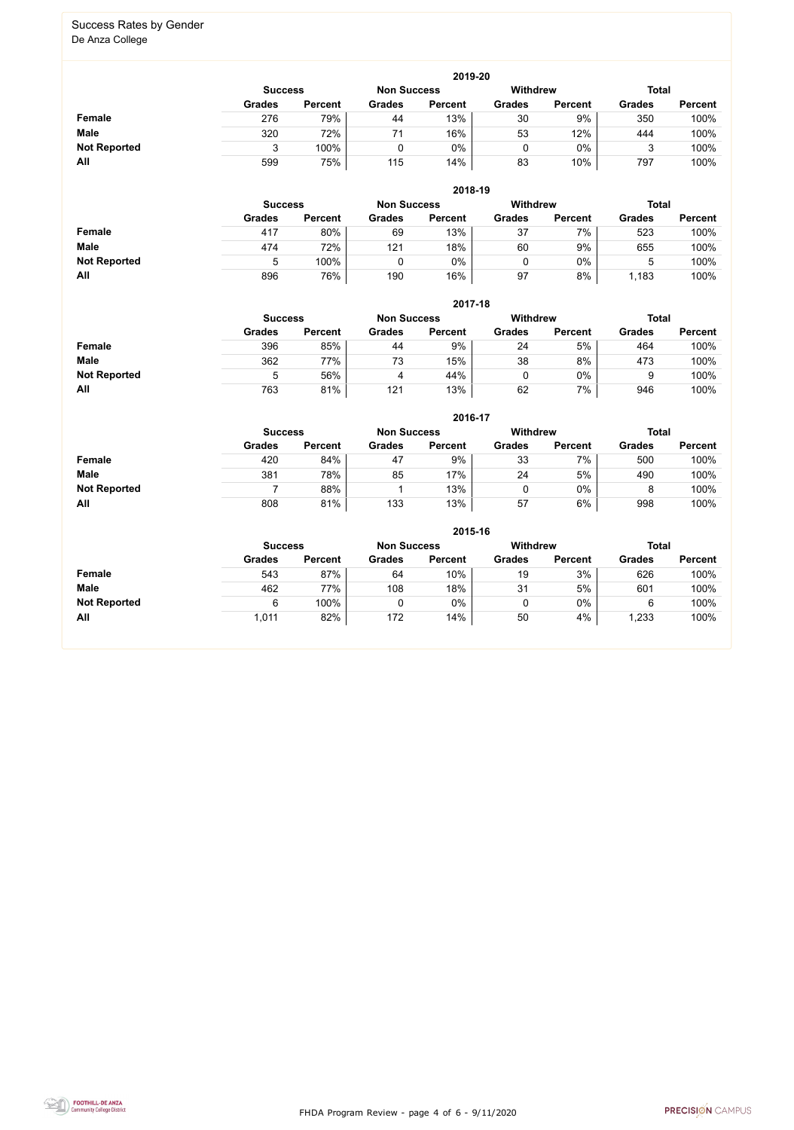FHDA Program Review - page 4 of 6 - 9/11/2020



#### Success Rates by Gender De Anza College

|                     | 2019-20       |                                                                         |               |                |               |                |               |                |  |  |  |  |  |
|---------------------|---------------|-------------------------------------------------------------------------|---------------|----------------|---------------|----------------|---------------|----------------|--|--|--|--|--|
|                     |               | <b>Withdrew</b><br><b>Total</b><br><b>Non Success</b><br><b>Success</b> |               |                |               |                |               |                |  |  |  |  |  |
|                     | <b>Grades</b> | <b>Percent</b>                                                          | <b>Grades</b> | <b>Percent</b> | <b>Grades</b> | <b>Percent</b> | <b>Grades</b> | <b>Percent</b> |  |  |  |  |  |
| <b>Female</b>       | 276           | 79%                                                                     | 44            | 13%            | 30            | $9\%$          | 350           | 100%           |  |  |  |  |  |
| <b>Male</b>         | 320           | 72%                                                                     | 71            | 16%            | 53            | 12%            | 444           | 100%           |  |  |  |  |  |
| <b>Not Reported</b> |               | 100%                                                                    |               | 0%             |               | $0\%$          |               | 100%           |  |  |  |  |  |
| All                 | 599           | 75%                                                                     | 115           | 14%            | 83            | 10%            | 797           | 100%           |  |  |  |  |  |

|                     |               | 2018-19                              |               |                |               |                 |               |                |  |  |  |  |  |  |
|---------------------|---------------|--------------------------------------|---------------|----------------|---------------|-----------------|---------------|----------------|--|--|--|--|--|--|
|                     |               | <b>Non Success</b><br><b>Success</b> |               |                |               | <b>Withdrew</b> | <b>Total</b>  |                |  |  |  |  |  |  |
|                     | <b>Grades</b> | <b>Percent</b>                       | <b>Grades</b> | <b>Percent</b> | <b>Grades</b> | <b>Percent</b>  | <b>Grades</b> | <b>Percent</b> |  |  |  |  |  |  |
| <b>Female</b>       | 417           | 80%                                  | 69            | 13%            | 37            | 7%              | 523           | 100%           |  |  |  |  |  |  |
| <b>Male</b>         | 474           | 72%                                  | 121           | 18%            | 60            | 9%              | 655           | 100%           |  |  |  |  |  |  |
| <b>Not Reported</b> | b             | 100%                                 |               | $0\%$          | 0             | $0\%$           |               | 100%           |  |  |  |  |  |  |
| All                 | 896           | 76%                                  | 190           | 16%            | 97            | 8%              | 1,183         | 100%           |  |  |  |  |  |  |

|                     |               | 2017-18                                                 |               |                |               |                |               |                |  |  |  |  |  |
|---------------------|---------------|---------------------------------------------------------|---------------|----------------|---------------|----------------|---------------|----------------|--|--|--|--|--|
|                     |               | <b>Withdrew</b><br><b>Non Success</b><br><b>Success</b> |               |                |               |                |               |                |  |  |  |  |  |
|                     | <b>Grades</b> | <b>Percent</b>                                          | <b>Grades</b> | <b>Percent</b> | <b>Grades</b> | <b>Percent</b> | <b>Grades</b> | <b>Percent</b> |  |  |  |  |  |
| <b>Female</b>       | 396           | 85%                                                     | 44            | 9%             | 24            | 5%             | 464           | 100%           |  |  |  |  |  |
| <b>Male</b>         | 362           | 77%                                                     | 73            | 15%            | 38            | 8%             | 473           | 100%           |  |  |  |  |  |
| <b>Not Reported</b> | 5             | 56%                                                     |               | 44%            |               | 0%             | g             | 100%           |  |  |  |  |  |
| All                 | 763           | 81%                                                     | 121           | 13%            | 62            | 7%             | 946           | 100%           |  |  |  |  |  |

|                     |                | 2016-17        |                    |                |                 |                |               |                |  |  |
|---------------------|----------------|----------------|--------------------|----------------|-----------------|----------------|---------------|----------------|--|--|
|                     | <b>Success</b> |                | <b>Non Success</b> |                | <b>Withdrew</b> |                | <b>Total</b>  |                |  |  |
|                     | <b>Grades</b>  | <b>Percent</b> | <b>Grades</b>      | <b>Percent</b> | <b>Grades</b>   | <b>Percent</b> | <b>Grades</b> | <b>Percent</b> |  |  |
| Female              | 420            | 84%            | 47                 | 9%             | 33              | 7%             | 500           | 100%           |  |  |
| <b>Male</b>         | 381            | 78%            | 85                 | 17%            | 24              | 5%             | 490           | 100%           |  |  |
| <b>Not Reported</b> |                | 88%            |                    | 13%            |                 | $0\%$          |               | 100%           |  |  |
| All                 | 808            | 81%            | 133                | 13%            | 57              | 6%             | 998           | 100%           |  |  |

|                     | 2015-16       |                                                  |               |                |               |                |               |                |  |
|---------------------|---------------|--------------------------------------------------|---------------|----------------|---------------|----------------|---------------|----------------|--|
|                     |               | Withdrew<br><b>Non Success</b><br><b>Success</b> |               |                |               |                |               |                |  |
|                     | <b>Grades</b> | <b>Percent</b>                                   | <b>Grades</b> | <b>Percent</b> | <b>Grades</b> | <b>Percent</b> | <b>Grades</b> | <b>Percent</b> |  |
| Female              | 543           | 87%                                              | 64            | $10\%$         | 19            | 3%             | 626           | 100%           |  |
| <b>Male</b>         | 462           | 77%                                              | 108           | 18%            | 31            | 5%             | 601           | 100%           |  |
| <b>Not Reported</b> | 6             | 100%                                             | 0             | $0\%$          | ν             | $0\%$          | 6             | 100%           |  |
| All                 | 1,011         | 82%                                              | 172           | 14%            | 50            | 4%             | ,233          | 100%           |  |

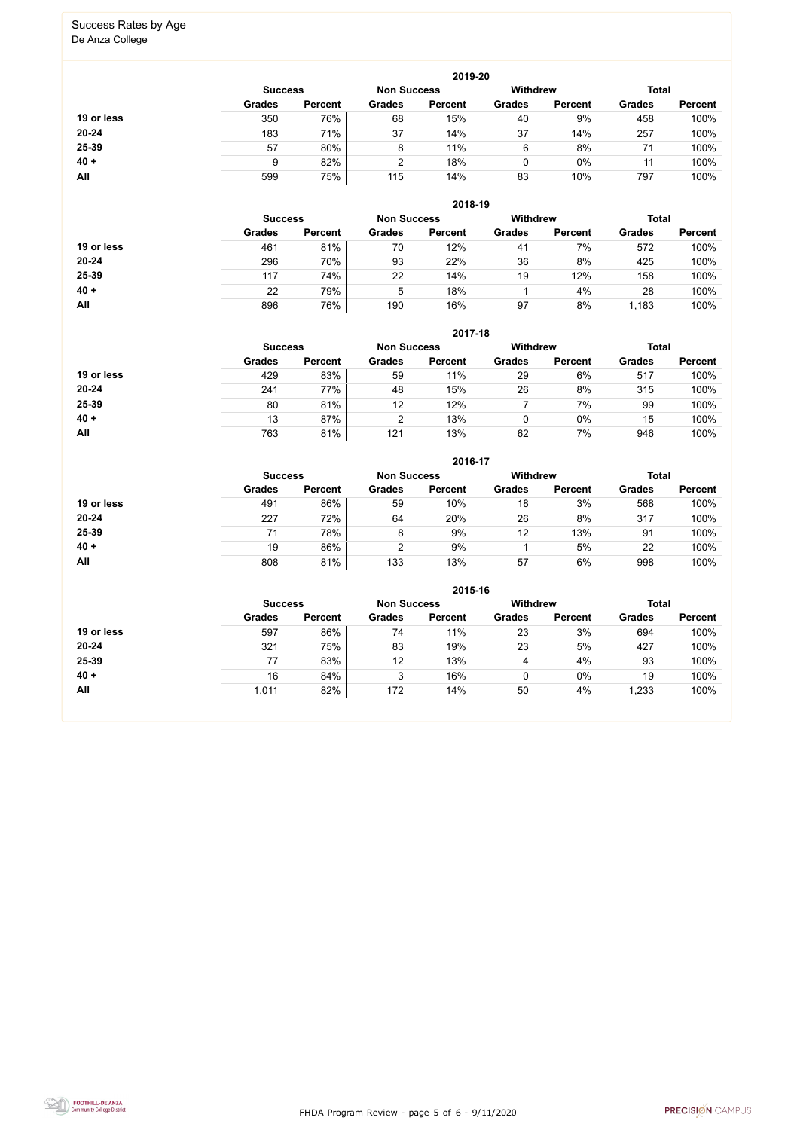FHDA Program Review - page 5 of 6 - 9/11/2020



# Success Rates by Age

De Anza College

|            | 2019-20                              |                |               |                |                 |                |               |                |  |
|------------|--------------------------------------|----------------|---------------|----------------|-----------------|----------------|---------------|----------------|--|
|            | <b>Non Success</b><br><b>Success</b> |                |               |                | <b>Withdrew</b> |                |               | <b>Total</b>   |  |
|            | <b>Grades</b>                        | <b>Percent</b> | <b>Grades</b> | <b>Percent</b> | <b>Grades</b>   | <b>Percent</b> | <b>Grades</b> | <b>Percent</b> |  |
| 19 or less | 350                                  | 76%            | 68            | 15%            | 40              | 9%             | 458           | 100%           |  |
| $20 - 24$  | 183                                  | 71%            | 37            | 14%            | 37              | 14%            | 257           | 100%           |  |
| 25-39      | 57                                   | 80%            | 8             | 11%            | 6               | 8%             | 71            | 100%           |  |
| $40 +$     | 9                                    | 82%            | ົ             | 18%            | 0               | $0\%$          | 11            | 100%           |  |
| <b>All</b> | 599                                  | 75%            | 115           | 14%            | 83              | 10%            | 797           | 100%           |  |

|            | <b>Success</b> |                | <b>Non Success</b> |                | <b>Withdrew</b> |                | <b>Total</b>  |                |
|------------|----------------|----------------|--------------------|----------------|-----------------|----------------|---------------|----------------|
|            | <b>Grades</b>  | <b>Percent</b> | <b>Grades</b>      | <b>Percent</b> | <b>Grades</b>   | <b>Percent</b> | <b>Grades</b> | <b>Percent</b> |
| 19 or less | 461            | 81%            | 70                 | 12%            | 41              | 7%             | 572           | 100%           |
| $20 - 24$  | 296            | 70%            | 93                 | 22%            | 36              | 8%             | 425           | 100%           |
| 25-39      | 117            | 74%            | 22                 | 14%            | 19              | 12%            | 158           | 100%           |
| $40 +$     | 22             | 79%            | 5                  | 18%            |                 | 4%             | 28            | 100%           |
| All        | 896            | 76%            | 190                | 16%            | 97              | 8%             | 1,183         | 100%           |

|            | 2017-18                                                                 |                |               |                |               |                |               |                |  |
|------------|-------------------------------------------------------------------------|----------------|---------------|----------------|---------------|----------------|---------------|----------------|--|
|            | <b>Withdrew</b><br><b>Total</b><br><b>Non Success</b><br><b>Success</b> |                |               |                |               |                |               |                |  |
|            | <b>Grades</b>                                                           | <b>Percent</b> | <b>Grades</b> | <b>Percent</b> | <b>Grades</b> | <b>Percent</b> | <b>Grades</b> | <b>Percent</b> |  |
| 19 or less | 429                                                                     | 83%            | 59            | 11%            | 29            | 6%             | 517           | 100%           |  |
| $20 - 24$  | 241                                                                     | 77%            | 48            | 15%            | 26            | 8%             | 315           | 100%           |  |
| 25-39      | 80                                                                      | 81%            | 12            | 12%            |               | 7%             | 99            | 100%           |  |
| $40 +$     | 13                                                                      | 87%            | C             | 13%            | 0             | $0\%$          | 15            | 100%           |  |
| All        | 763                                                                     | 81%            | 121           | 13%            | 62            | 7%             | 946           | 100%           |  |

|            | 2016-17                              |                |               |                |                 |                |               |                |  |
|------------|--------------------------------------|----------------|---------------|----------------|-----------------|----------------|---------------|----------------|--|
|            | <b>Non Success</b><br><b>Success</b> |                |               |                | <b>Withdrew</b> |                | <b>Total</b>  |                |  |
|            | <b>Grades</b>                        | <b>Percent</b> | <b>Grades</b> | <b>Percent</b> | <b>Grades</b>   | <b>Percent</b> | <b>Grades</b> | <b>Percent</b> |  |
| 19 or less | 491                                  | 86%            | 59            | 10%            | 18              | 3%             | 568           | 100%           |  |
| $20 - 24$  | 227                                  | 72%            | 64            | 20%            | 26              | 8%             | 317           | 100%           |  |
| 25-39      | 71                                   | 78%            | 8             | 9%             | 12              | 13%            | 91            | 100%           |  |
| $40 +$     | 19                                   | 86%            | 2             | 9%             |                 | 5%             | 22            | 100%           |  |
| All        | 808                                  | 81%            | 133           | 13%            | 57              | 6%             | 998           | 100%           |  |

|            | 2015-16                                                 |                |               |                |               |                |               |                |  |  |
|------------|---------------------------------------------------------|----------------|---------------|----------------|---------------|----------------|---------------|----------------|--|--|
|            | <b>Withdrew</b><br><b>Non Success</b><br><b>Success</b> |                |               |                |               |                |               | <b>Total</b>   |  |  |
|            | <b>Grades</b>                                           | <b>Percent</b> | <b>Grades</b> | <b>Percent</b> | <b>Grades</b> | <b>Percent</b> | <b>Grades</b> | <b>Percent</b> |  |  |
| 19 or less | 597                                                     | 86%            | 74            | 11%            | 23            | 3%             | 694           | 100%           |  |  |
| $20 - 24$  | 321                                                     | 75%            | 83            | 19%            | 23            | 5%             | 427           | 100%           |  |  |
| 25-39      | 77                                                      | 83%            | 12            | 13%            | 4             | 4%             | 93            | 100%           |  |  |
| $40 +$     | 16                                                      | 84%            | າ<br>J        | 16%            |               | $0\%$          | 19            | 100%           |  |  |
| All        | 1,011                                                   | 82%            | 172           | 14%            | 50            | 4%             | 1,233         | 100%           |  |  |